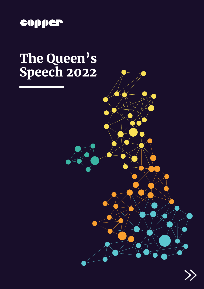

## The Queen's Speech 2022



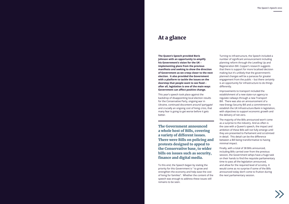### At a glance

**The Queen's Speech provided Boris Johnson with an opportunity to amplify his Government's vision for the UK – implementing plans from the previous manifesto and seeking to show the direction of Government as we creep closer to the next election. It also provided the Government with a platform to tackle the issues on the doorstep that people want to see fixed – after all, legislation is one of the main ways Government can affect positive change.**

This year's speech took place against the backdrop of disappointing local election results for the Conservative Party, ongoing war in Ukraine, continued discontent around 'partygate' and crucially an ongoing cost of living crisis, that many fear is going to get worse before it gets better.

To this end, the Speech began by stating the priority for this Government is " to grow and strengthen the economy and help ease the cost of living for families". Whether the content of the speech was enough to address these issues still remains to be seen.

Turning to infrastructure, the Speech included a number of significant announcement including planning reform through the Levelling Up and Regeneration Bill. Copper's research suggests that there is support for more localised decision making but it's unlikely that the government's planned changes will be a panacea for greater engagement from the public – but there certainly is an opportunity for infrastructure to do things differently.

Improvements to transport included the establishment of a new state-run agency to regulate railways through a new Transport Bill. There was also an announcement of a new Energy Security Bill and a commitment to establish the UK Infrastructure Bank in legislation, with objectives to support economic growth and the delivery of net zero.

The majority of the Bills announced won't come as a surprise to the industry. And as often is the case with a Queen's speech, the impact and ambition of these Bills will not fully emerge until they are presented to Parliament and scrutinised in detail. This detail can be the difference between a Bill being transformative to having minimal impact.

Finally, with a total of 38 Bills announced, including Bills carried over from the previous session, the Government whips have a huge task on their hands to find the requisite parliamentary time to pass all the legislation announced, and allow for the required level of scrutiny. It would come as no surprise if some of the Bills announced today don't come to fruition during the next parliamentary session.



The Government announced a whole host of Bills, covering a variety of different issues. There were Bills on policing and protests designed to appeal to the Conservative base, to wider bills on issues such as security, finance and digital media.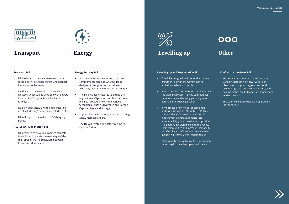

## **Transport**



## **Other**

#### **Transport Bill**

- Bill designed to create a better and more reliable service for passengers, and support innovation in the sector.
- It will lead to the creation of Great British Railways, which will be provided with powers to act as the "single national leader of the railways".
- It also includes new laws to enable the take up of self-driving/remotely operated vehicles.
- Bill will support the roll out of EV charging points.

#### **HS2 (Crew – Manchester) Bill**

• Bill designed to provide powers to facilitate the build and operate the next stage of the High Speed Two (HS2) network between Crewe and Manchester.



#### **Energy Security Bill**

- Reacting to the war in Ukraine, and also commitments made at COP, this Bill is designed to support the transition to "cheaper, cleaner and more secure energy".
- The Bill includes measures to extend the regulation of Ofgem to cover heat networks, plans to facilitate growth in emerging technologies such as Hydrogen and Carbon Capture Usage and Storage.
- Support for the heat pump market creating a new market standard.
- The Bill will create a regulatory regime to support fusion.

## Energy

# Levelling up

#### **Levelling Up and Regeneration Bill**

- The Bill is designed to drive local economic growth in line with the Government's ambitions to level up the UK.
- It includes measures to reform and improve the planning system – giving communities more of a say and making planning more accessible through digitisation.
- It will create a new model of combined authority through the "County Deal". This combined authority will "provide local leaders with powers to enhance local accountability, join up services and provide transparent decision making to rejuvenate their communities and increase their ability to reflect local preferences in arrangements, including directly elected leaders' titles."
- Places a duty that will make the Government report against levelling up commitments.

#### **UK Infrastructure Bank Bill**

- The Bill will establish the UK Infrastructure Bank by establishing in law, "with clear objectives to support regional and local economic growth and deliver net zero, and ensuring it has the full range of spending and lending powers."
- The bank will be provided with operational independence.

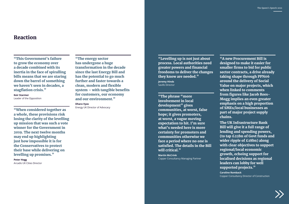"This Government's failure to grow the economy over a decade combined with its inertia in the face of spiralling bills means that we are staring down the barrel of something we haven't seen in decades, a stagflation crisis."

**Keir Starmer** Leader of the Opposition

"When considered together as a whole, these provisions risk losing the clarity of the levelling up mission that was such a vote winner for the Government in 2019. The next twelve months may end up highlighting just how impossible it is for the Conservatives to protect their base while delivering on levelling up promises."

**Peter Hogg** Arcadis UK Cities Director "The energy sector has undergone a huge transformation in the decade since the last Energy Bill and has the potential to go much further and faster towards a clean, modern and flexible system – with tangible benefits for customers, our economy and our environment."

#### **Dhara Vyas**

Energy UK Director of Advocacy

The UK Infrastructure Bank Bill will give it a full range of lending and spending powers, (to tap £22bn of Govt funds and wider ripple of £18bn) along with clear objectives to support regional/local economic growth, echoing support for localised decisions as regional leaders can lobby for well supported projects."

## Reaction

"Levelling up is not just about process. Local authorities need greater powers and financial freedoms to deliver the changes they know are needed."

**Jeremy Hinds** Savills Director

"The phrase "more involvement in local development" gives communities, at worst, false hope; it gives promoters, at worst, a vague moving expectation to hit. I'm sure what's needed here is more certainty for promoters and communities otherwise we face a period where no one is satisfied. The details in the Bill will critical."

**Martin McCrink**  Copper Consultancy Managing Partner

"A new Procurement Bill is designed to make it easier for smaller firms to bid for public sector contracts, a drive already taking shape through PPN06 around the delivery of Social Value on major projects, which when linked to comments from figures like Jacob Rees-Mogg implies an even greater emphasis on a high proportion of SMEs/local businesses as part of major project supply chains.

**Caroline Romback**  Copper Consultancy Director of Construction

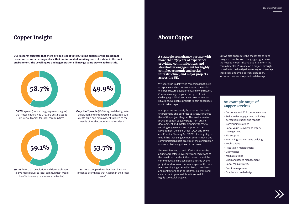**A strategic consultancy partner with more than 25 years of experience providing communications and stakeholder engagement for highly complex economic and social infrastructure, and major projects across the UK.**

We specialise in delivering campaigns that build acceptance and excitement around the world of infrastructure development and construction. Communicating complex concepts, often in challenging political, social and environmental situations, we enable projects to gain consensus and to take shape.

At Copper we are purely focussed on the built environment, and our practice structure echoes that of the project lifecycle. This enables us to provide support at every stage from outline development and master planning stages, to securing engagement and support at the Development Consent Order (DCO) and Town and Country Planning Act (TCPA) planning stages, to fulfilling those engagement commitments and communications best practice at the construction and commissioning phase of the project.

This seamless end to end offering gives us the ability to transfer knowledge from each stage to the benefit of the client, the contractor and the communities and stakeholders affected by the project. And we value our role as part of the wider team, coming together with clients, consultants and contractors, sharing insights, expertise and experience in great collaborations to deliver highly successful projects.

But we also appreciate the challenges of tight margins, complex and changing programmes, the need to model risk and use it to inform the commitments/KPIs made on a project, through to well informed mitigation strategies to manage those risks and avoid delivery disruption, increased costs and reputational damage.

#### **An example range of Copper services**

- Corporate and B2B communications
- Stakeholder engagement, including perception studies and reports
- Community relations
- Social Value Delivery and legacy management
- Bid support
- Messaging and narrative building
- Public affairs
- Reputation management
- Copywriting
- Media relations
- Crisis and issues management
- Social media strategy
- Event management
- Graphic and web design



## **Copper Insight About Copper**

**Our research suggests that there are pockets of voters, falling outside of the traditional conservative voter demographics, that are interested in taking more of a stake in the built environment. The Levelling Up and Regeneration Bill may go some way to address this.** 

**58.7%** agreed (both strongly agree and agree) that "local leaders, not MPs, are best placed to deliver outcomes for local communities"



**Only 1 in 2 people** (49.9%) agreed that "greater devolution and empowered local leaders will create skills and employment tailored to the needs of local economies and residents"

**59.1%** think that "devolution and decentralisation to give more power to local communities" would be effective (very or somewhat effective)



**53.7%** of people think that they "have no influence over things that happen in their local area"